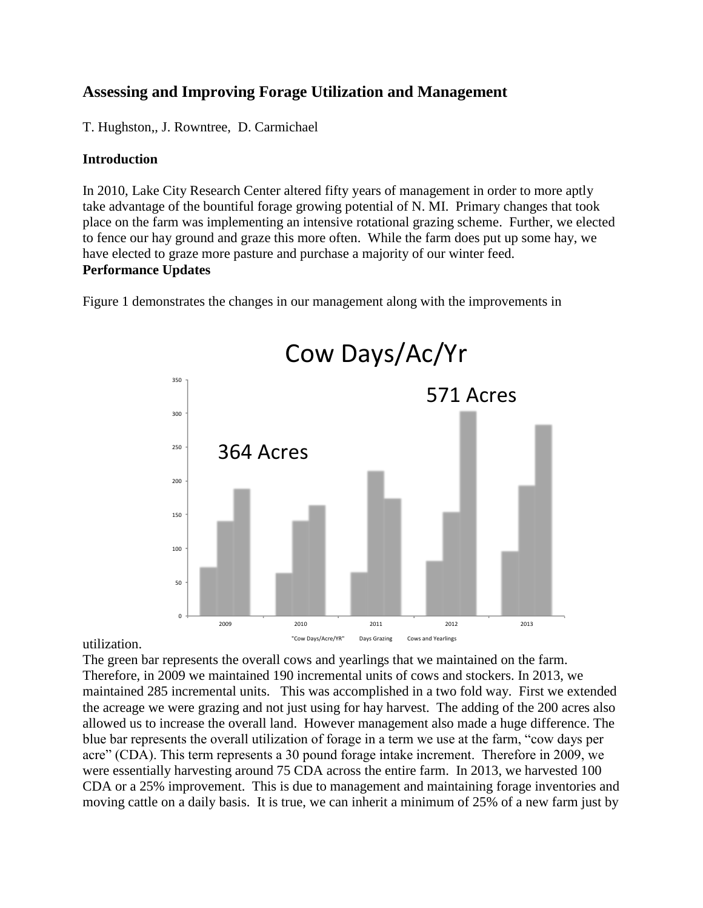## **Assessing and Improving Forage Utilization and Management**

T. Hughston,, J. Rowntree, D. Carmichael

## **Introduction**

In 2010, Lake City Research Center altered fifty years of management in order to more aptly take advantage of the bountiful forage growing potential of N. MI. Primary changes that took place on the farm was implementing an intensive rotational grazing scheme. Further, we elected to fence our hay ground and graze this more often. While the farm does put up some hay, we have elected to graze more pasture and purchase a majority of our winter feed. **Performance Updates**

Figure 1 demonstrates the changes in our management along with the improvements in



utilization.

The green bar represents the overall cows and yearlings that we maintained on the farm. Therefore, in 2009 we maintained 190 incremental units of cows and stockers. In 2013, we maintained 285 incremental units. This was accomplished in a two fold way. First we extended the acreage we were grazing and not just using for hay harvest. The adding of the 200 acres also allowed us to increase the overall land. However management also made a huge difference. The blue bar represents the overall utilization of forage in a term we use at the farm, "cow days per acre" (CDA). This term represents a 30 pound forage intake increment. Therefore in 2009, we were essentially harvesting around 75 CDA across the entire farm. In 2013, we harvested 100 CDA or a 25% improvement. This is due to management and maintaining forage inventories and moving cattle on a daily basis. It is true, we can inherit a minimum of 25% of a new farm just by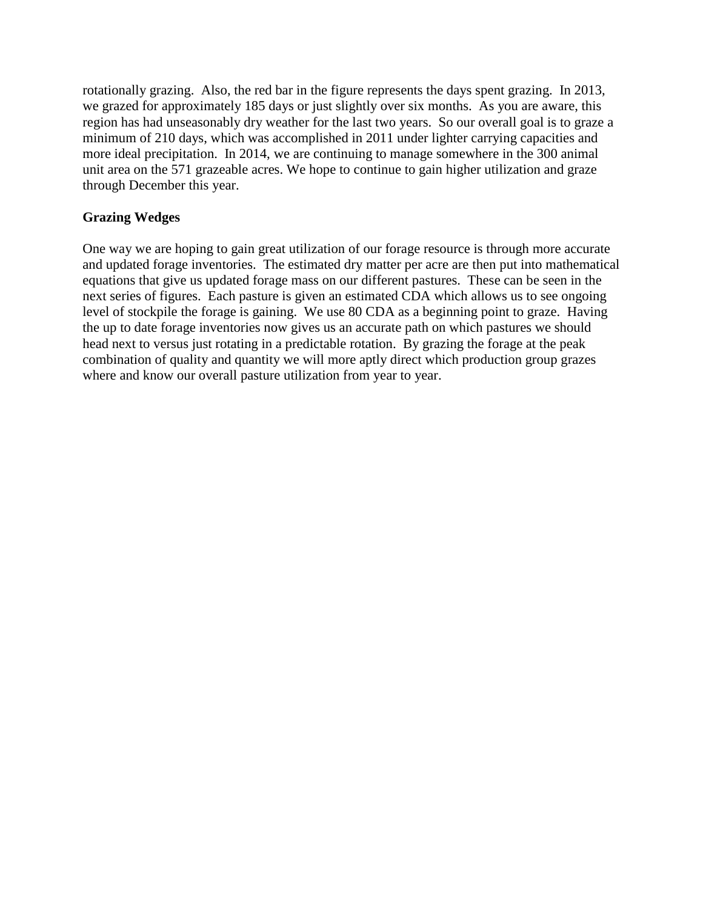rotationally grazing. Also, the red bar in the figure represents the days spent grazing. In 2013, we grazed for approximately 185 days or just slightly over six months. As you are aware, this region has had unseasonably dry weather for the last two years. So our overall goal is to graze a minimum of 210 days, which was accomplished in 2011 under lighter carrying capacities and more ideal precipitation. In 2014, we are continuing to manage somewhere in the 300 animal unit area on the 571 grazeable acres. We hope to continue to gain higher utilization and graze through December this year.

## **Grazing Wedges**

One way we are hoping to gain great utilization of our forage resource is through more accurate and updated forage inventories. The estimated dry matter per acre are then put into mathematical equations that give us updated forage mass on our different pastures. These can be seen in the next series of figures. Each pasture is given an estimated CDA which allows us to see ongoing level of stockpile the forage is gaining. We use 80 CDA as a beginning point to graze. Having the up to date forage inventories now gives us an accurate path on which pastures we should head next to versus just rotating in a predictable rotation. By grazing the forage at the peak combination of quality and quantity we will more aptly direct which production group grazes where and know our overall pasture utilization from year to year.